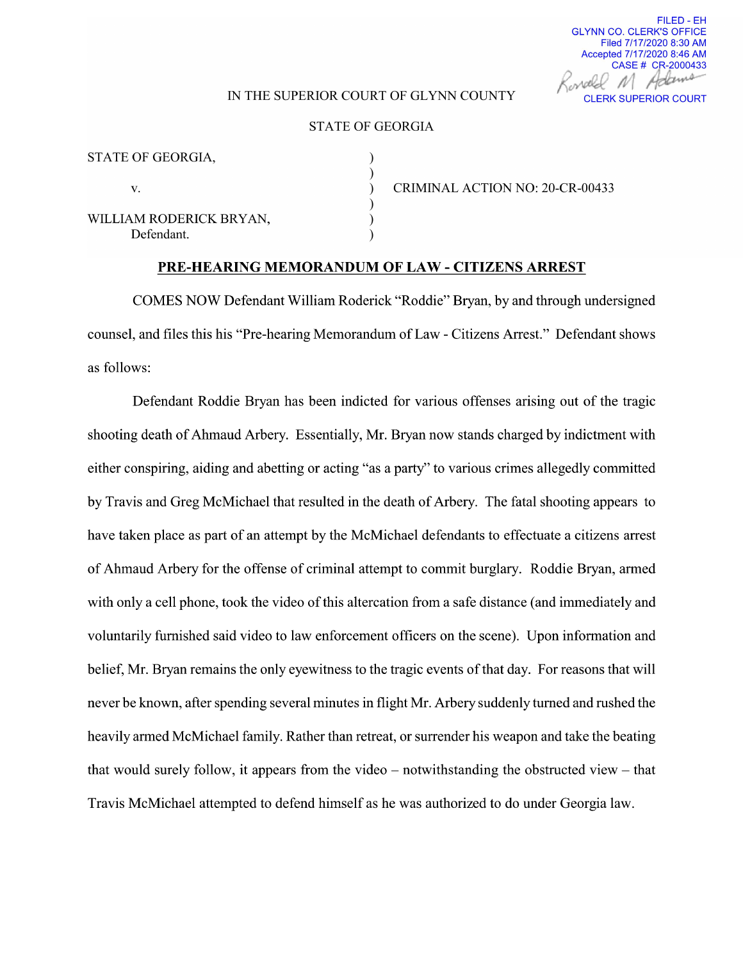# FILED - EH GLYNN CO. CLERK'S OFFICE Filed 7/17/2020 8:30 AM Accepted 7/17/2020 8:46 AM CASE # CR-2000433

#### IN THE SUPERIOR COURT OF GLYNN COUNTY CLERK SUPERIOR COURT

### STATE OF GEORGIA

| STATE OF GEORGIA,                     |  |
|---------------------------------------|--|
| V.                                    |  |
| WILLIAM RODERICK BRYAN,<br>Defendant. |  |

CRIMINAL ACTION NO: 20-CR-00433

#### PRE-HEARING MEMORANDUM OF LAW - CITIZENS ARREST

COMES NOW Defendant William Roderick "Roddie" Bryan, by and through undersigned counsel, and files this his "Pre-hearing Memorandum of Law - Citizens Arrest." Defendant shows as follows:

Defendant Roddie Bryan has been indicted for various offenses arising out of the tragic shooting death of Ahmaud Arbery. Essentially, Mr. Bryan now stands charged by indictment with either conspiring, aiding and abetting or acting "as a party" to various crimes allegedly committed by Travis and Greg McMichael that resulted in the death of Arbery. The fatal shooting appears to have taken place as part of an attempt by the McMichael defendants to effectuate a citizens arrest of Ahmaud Arbery for the offense of criminal attempt to commit burglary. Roddie Bryan, armed with only a cell phone, took the video of this altercation from a safe distance (and immediately and voluntarily furnished said Video to law enforcement officers on the scene). Upon information and belief, Mr. Bryan remains the only eyewitness to the tragic events of that day. For reasons that will never be known, after spending several minutes in flight Mr. Arbery suddenly turned and rushed the heavily armed McMichael family. Rather than retreat, or surrender his weapon and take the beating that would surely follow, it appears from the video  $-$  notwithstanding the obstructed view  $-$  that Travis McMichael attempted to defend himself as he was authorized to do under Georgia law.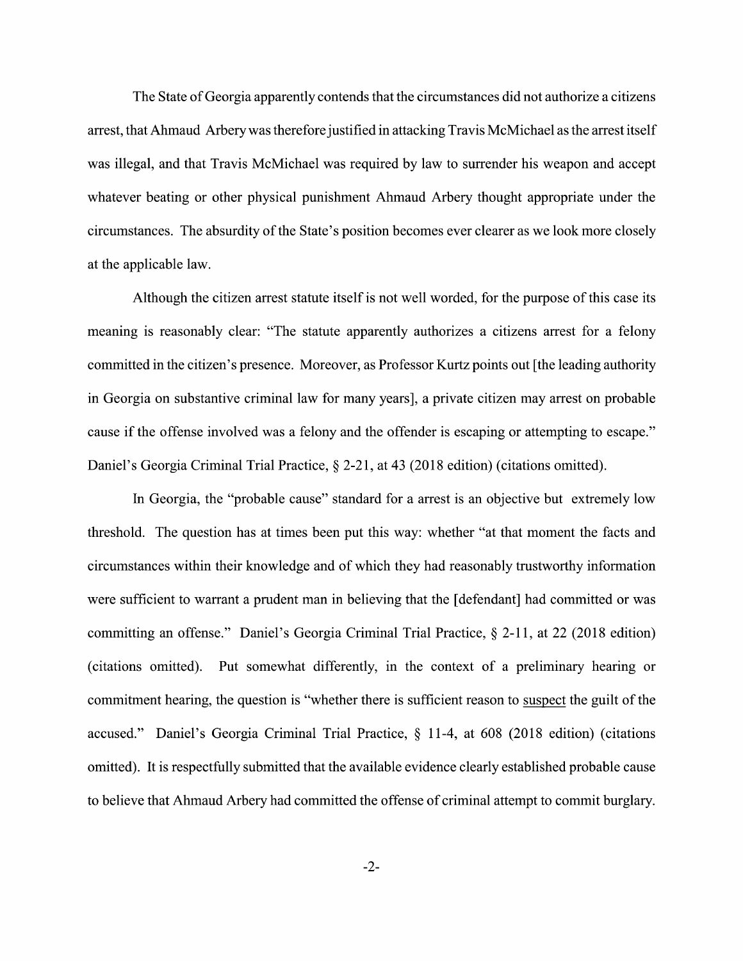The State of Georgia apparently contends that the circumstances did not authorize a citizens arrest, that Ahmaud Arbery was therefore justified in attacking Travis McMichael as the arrest itself was illegal, and that Travis McMichael was required by law to surrender his weapon and accept Whatever beating or other physical punishment Ahmaud Arbery thought appropriate under the circumstances. The absurdity of the State's position becomes ever clearer as we 100k more closely at the applicable law.

Although the citizen arrest statute itself is not well worded, for the purpose of this case its meaning is reasonably clear: "The statute apparently authorizes a citizens arrest for a felony committed in the citizen's presence. Moreover, as Professor Kurtz points out [the leading authority in Georgia on substantive criminal law for many years], a private citizen may arrest on probable cause if the offense involved was a felony and the offender is escaping or attempting to escape." Daniel's Georgia Criminal Trial Practice,  $\S$  2-21, at 43 (2018 edition) (citations omitted).

In Georgia, the "probable cause" standard for a arrest is an objective but extremely low threshold. The question has at times been put this way: whether "at that moment the facts and circumstances Within their knowledge and of Which they had reasonably trustworthy information were sufficient to warrant a prudent man in believing that the [defendant] had committed or was committing an offense." Daniel's Georgia Criminal Trial Practice, § 2-11, at 22 (2018 edition) (citations omitted). Put somewhat differently, in the context of a preliminary hearing or commitment hearing, the question is "whether there is sufficient reason to suspect the guilt of the accused." Daniel's Georgia Criminal Trial Practice,  $\S$  11-4, at 608 (2018 edition) (citations omitted). It is respectfully submitted that the available evidence clearly established probable cause to believe that Ahmaud Arbery had committed the offense of criminal attempt to commit burglary.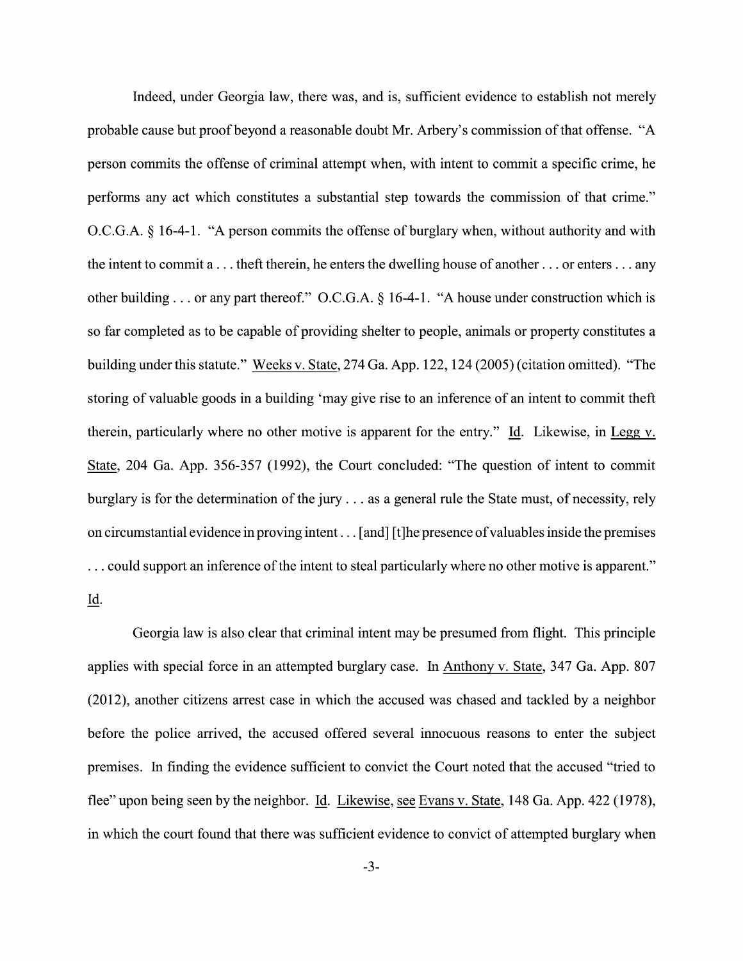Indeed, under Georgia law, there was, and is, sufficient evidence to establish not merely probable cause but proof beyond a reasonable doubt Mr. Arbery's commission of that offense. "A person commits the offense of criminal attempt when, with intent to commit a specific crime, he performs any act which constitutes a substantial step towards the commission of that crime." O.C.G.A. § 16-4-1. "A person commits the offense of burglary when, without authority and with the intent to commit  $a \dots$  theft therein, he enters the dwelling house of another  $\dots$  or enters  $\dots$  any other building ... or any part thereof." O.C.G.A.  $\S$  16-4-1. "A house under construction which is so far completed as to be capable of providing shelter to people, animals or property constitutes a building under this statute." Weeks v. State, 274 Ga. App. 122, 124 (2005) (citation omitted). "The storing of valuable goods in a building 'may give rise to an inference of an intent to commit theft therein, particularly where no other motive is apparent for the entry." Id. Likewise, in Legg  $v$ . State, 204 Ga. App. 356-357 (1992), the Court concluded: "The question of intent to commit burglary is for the determination of the jury  $\dots$  as a general rule the State must, of necessity, rely on circumstantial evidence in proving intent  $\dots$  [and] [t]he presence of valuables inside the premises ... could support an inference of the intent to steal particularly where no other motive is apparent." Id.

Georgia law is also clear that criminal intent may be presumed from flight. This principle applies with special force in an attempted burglary case. In Anthony V. State, 347 Ga. App. 807  $(2012)$ , another citizens arrest case in which the accused was chased and tackled by a neighbor before the police arrived, the accused offered several innocuous reasons to enter the subject premises. In finding the evidence sufficient to convict the Court noted that the accused "tried to flee" upon being seen by the neighbor. Id. Likewise, see Evans v. State, 148 Ga. App. 422 (1978), in which the court found that there was sufficient evidence to convict of attempted burglary when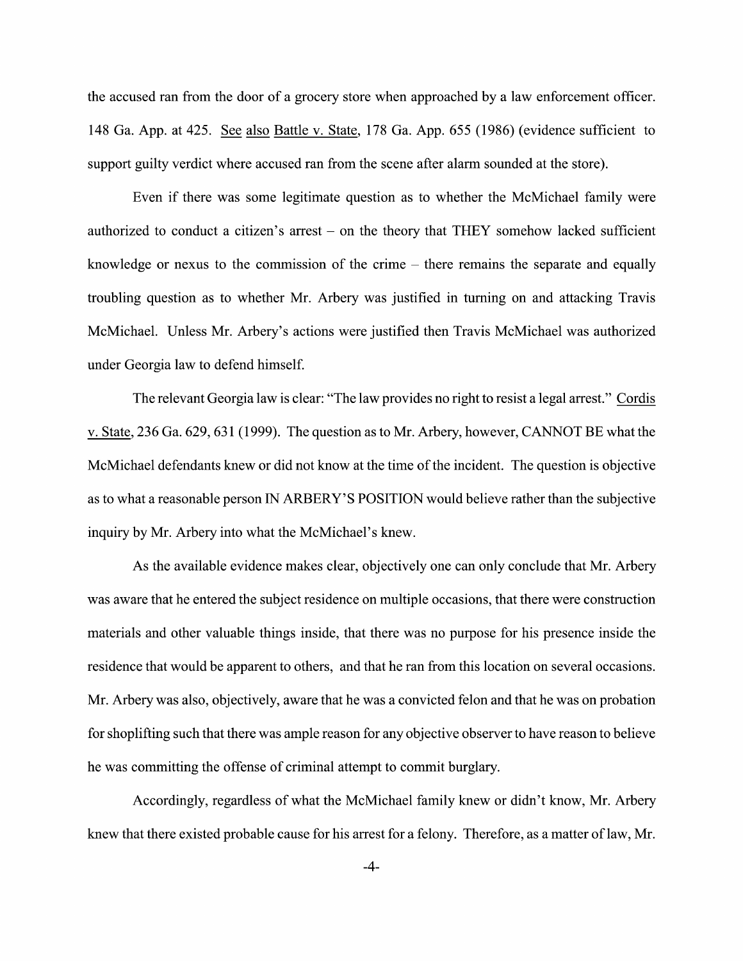the accused ran from the door of a grocery store when approached by a law enforcement officer. 148 Ga. App. at  $425$ . See also Battle v. State, 178 Ga. App.  $655$  (1986) (evidence sufficient to support guilty verdict where accused ran from the scene after alarm sounded at the store).

Even if there was some legitimate question as to whether the McMichael family were authorized to conduct a citizen's arrest  $-$  on the theory that THEY somehow lacked sufficient knowledge or nexus to the commission of the crime  $-$  there remains the separate and equally troubling question as t0 Whether Mr. Arbery was justified in turning 0n and attacking Travis McMichael. Unless Mr. Arbery's actions were justified then Travis McMichael was authorized under Georgia law t0 defend himself.

The relevant Georgia law is clear: "The law provides no right to resist a legal arrest." Cordis v. State, 236 Ga. 629, 631 (1999). The question as to Mr. Arbery, however, CANNOT BE what the McMichael defendants knew or did not know at the time of the incident. The question is objective as to what a reasonable person IN ARBERY'S POSITION would believe rather than the subjective inquiry by Mr. Arbery into what the McMichael's knew.

As the available evidence makes clear, objectively one can only conclude that Mr. Arbery was aware that he entered the subject residence on multiple occasions, that there were construction materials and other valuable things inside, that there was no purpose for his presence inside the residence that would be apparent to others, and that he ran from this location on several occasions. Mr. Arbery was also, objectively, aware that he was a convicted felon and that he was on probation for shoplifting such that there was ample reason for any objective observer to have reason to believe he was committing the offense of criminal attempt to commit burglary.

Accordingly, regardless 0f What the McMichael family knew or didn't know, Mr. Arbery knew that there existed probable cause for his arrest for a felony. Therefore, as a matter of law, Mr.